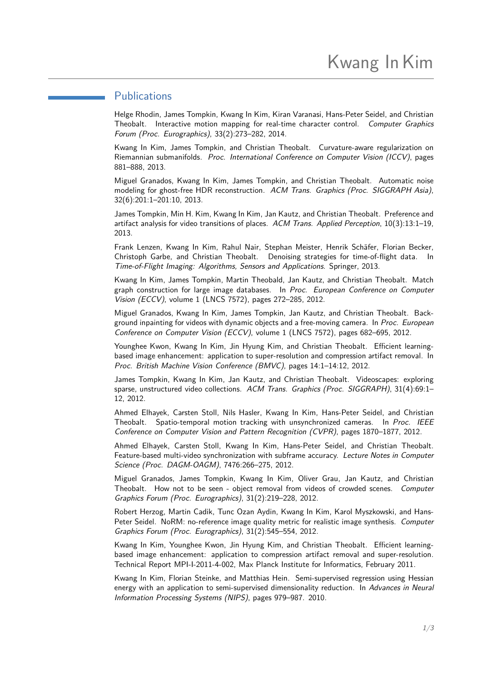## <span id="page-0-0"></span>**Publications**

Helge Rhodin, James Tompkin, Kwang In Kim, Kiran Varanasi, Hans-Peter Seidel, and Christian Theobalt. Interactive motion mapping for real-time character control. Computer Graphics Forum (Proc. Eurographics), 33(2):273–282, 2014.

Kwang In Kim, James Tompkin, and Christian Theobalt. Curvature-aware regularization on Riemannian submanifolds. Proc. International Conference on Computer Vision (ICCV), pages 881–888, 2013.

Miguel Granados, Kwang In Kim, James Tompkin, and Christian Theobalt. Automatic noise modeling for ghost-free HDR reconstruction. ACM Trans. Graphics (Proc. SIGGRAPH Asia), 32(6):201:1–201:10, 2013.

James Tompkin, Min H. Kim, Kwang In Kim, Jan Kautz, and Christian Theobalt. Preference and artifact analysis for video transitions of places. ACM Trans. Applied Perception, 10(3):13:1–19, 2013.

Frank Lenzen, Kwang In Kim, Rahul Nair, Stephan Meister, Henrik Schäfer, Florian Becker, Christoph Garbe, and Christian Theobalt. Denoising strategies for time-of-flight data. In Time-of-Flight Imaging: Algorithms, Sensors and Applications. Springer, 2013.

Kwang In Kim, James Tompkin, Martin Theobald, Jan Kautz, and Christian Theobalt. Match graph construction for large image databases. In Proc. European Conference on Computer Vision (ECCV), volume 1 (LNCS 7572), pages 272–285, 2012.

Miguel Granados, Kwang In Kim, James Tompkin, Jan Kautz, and Christian Theobalt. Background inpainting for videos with dynamic objects and a free-moving camera. In Proc. European Conference on Computer Vision (ECCV), volume 1 (LNCS 7572), pages 682–695, 2012.

Younghee Kwon, Kwang In Kim, Jin Hyung Kim, and Christian Theobalt. Efficient learningbased image enhancement: application to super-resolution and compression artifact removal. In Proc. British Machine Vision Conference (BMVC), pages 14:1–14:12, 2012.

James Tompkin, Kwang In Kim, Jan Kautz, and Christian Theobalt. Videoscapes: exploring sparse, unstructured video collections. ACM Trans. Graphics (Proc. SIGGRAPH), 31(4):69:1-12, 2012.

Ahmed Elhayek, Carsten Stoll, Nils Hasler, Kwang In Kim, Hans-Peter Seidel, and Christian Theobalt. Spatio-temporal motion tracking with unsynchronized cameras. In Proc. IEEE Conference on Computer Vision and Pattern Recognition (CVPR), pages 1870–1877, 2012.

Ahmed Elhayek, Carsten Stoll, Kwang In Kim, Hans-Peter Seidel, and Christian Theobalt. Feature-based multi-video synchronization with subframe accuracy. Lecture Notes in Computer Science (Proc. DAGM-OAGM), 7476:266–275, 2012.

Miguel Granados, James Tompkin, Kwang In Kim, Oliver Grau, Jan Kautz, and Christian Theobalt. How not to be seen - object removal from videos of crowded scenes. Computer Graphics Forum (Proc. Eurographics), 31(2):219–228, 2012.

Robert Herzog, Martin Cadik, Tunc Ozan Aydin, Kwang In Kim, Karol Myszkowski, and Hans-Peter Seidel. NoRM: no-reference image quality metric for realistic image synthesis. Computer Graphics Forum (Proc. Eurographics), 31(2):545–554, 2012.

Kwang In Kim, Younghee Kwon, Jin Hyung Kim, and Christian Theobalt. Efficient learningbased image enhancement: application to compression artifact removal and super-resolution. Technical Report MPI-I-2011-4-002, Max Planck Institute for Informatics, February 2011.

Kwang In Kim, Florian Steinke, and Matthias Hein. Semi-supervised regression using Hessian energy with an application to semi-supervised dimensionality reduction. In Advances in Neural Information Processing Systems (NIPS), pages 979–987. 2010.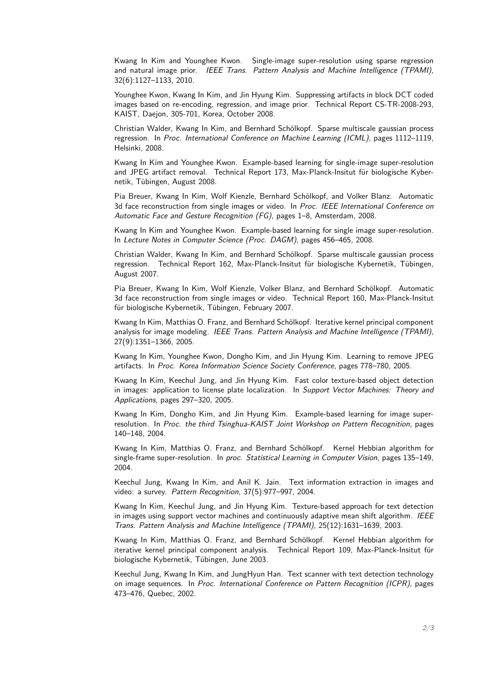Kwang In Kim and Younghee Kwon. Single-image super-resolution using sparse regression and natural image prior. IEEE Trans. Pattern Analysis and Machine Intelligence (TPAMI), 32(6):1127–1133, 2010.

Younghee Kwon, Kwang In Kim, and Jin Hyung Kim. Suppressing artifacts in block DCT coded images based on re-encoding, regression, and image prior. Technical Report CS-TR-2008-293, KAIST, Daejon, 305-701, Korea, October 2008.

Christian Walder, Kwang In Kim, and Bernhard Schölkopf. Sparse multiscale gaussian process regression. In Proc. International Conference on Machine Learning (ICML), pages 1112–1119, Helsinki, 2008.

Kwang In Kim and Younghee Kwon. Example-based learning for single-image super-resolution and JPEG artifact removal. Technical Report 173, Max-Planck-Insitut für biologische Kybernetik, Tübingen, August 2008.

Pia Breuer, Kwang In Kim, Wolf Kienzle, Bernhard Schölkopf, and Volker Blanz. Automatic 3d face reconstruction from single images or video. In Proc. IEEE International Conference on Automatic Face and Gesture Recognition (FG), pages 1–8, Amsterdam, 2008.

Kwang In Kim and Younghee Kwon. Example-based learning for single image super-resolution. In Lecture Notes in Computer Science (Proc. DAGM), pages 456–465, 2008.

Christian Walder, Kwang In Kim, and Bernhard Schölkopf. Sparse multiscale gaussian process regression. Technical Report 162, Max-Planck-Insitut für biologische Kybernetik, Tübingen, August 2007.

Pia Breuer, Kwang In Kim, Wolf Kienzle, Volker Blanz, and Bernhard Schölkopf. Automatic 3d face reconstruction from single images or video. Technical Report 160, Max-Planck-Insitut für biologische Kybernetik, Tübingen, February 2007.

Kwang In Kim, Matthias O. Franz, and Bernhard Schölkopf. Iterative kernel principal component analysis for image modeling. IEEE Trans. Pattern Analysis and Machine Intelligence (TPAMI), 27(9):1351–1366, 2005.

Kwang In Kim, Younghee Kwon, Dongho Kim, and Jin Hyung Kim. Learning to remove JPEG artifacts. In Proc. Korea Information Science Society Conference, pages 778–780, 2005.

Kwang In Kim, Keechul Jung, and Jin Hyung Kim. Fast color texture-based object detection in images: application to license plate localization. In Support Vector Machines: Theory and Applications, pages 297–320, 2005.

Kwang In Kim, Dongho Kim, and Jin Hyung Kim. Example-based learning for image superresolution. In Proc. the third Tsinghua-KAIST Joint Workshop on Pattern Recognition, pages 140–148, 2004.

Kwang In Kim, Matthias O. Franz, and Bernhard Schölkopf. Kernel Hebbian algorithm for single-frame super-resolution. In proc. Statistical Learning in Computer Vision, pages 135-149, 2004.

Keechul Jung, Kwang In Kim, and Anil K. Jain. Text information extraction in images and video: a survey. Pattern Recognition, 37(5):977–997, 2004.

Kwang In Kim, Keechul Jung, and Jin Hyung Kim. Texture-based approach for text detection in images using support vector machines and continuously adaptive mean shift algorithm. IEEE Trans. Pattern Analysis and Machine Intelligence (TPAMI), 25(12):1631–1639, 2003.

Kwang In Kim, Matthias O. Franz, and Bernhard Schölkopf. Kernel Hebbian algorithm for iterative kernel principal component analysis. Technical Report 109, Max-Planck-Insitut für biologische Kybernetik, Tübingen, June 2003.

Keechul Jung, Kwang In Kim, and JungHyun Han. Text scanner with text detection technology on image sequences. In Proc. International Conference on Pattern Recognition (ICPR), pages 473–476, Quebec, 2002.